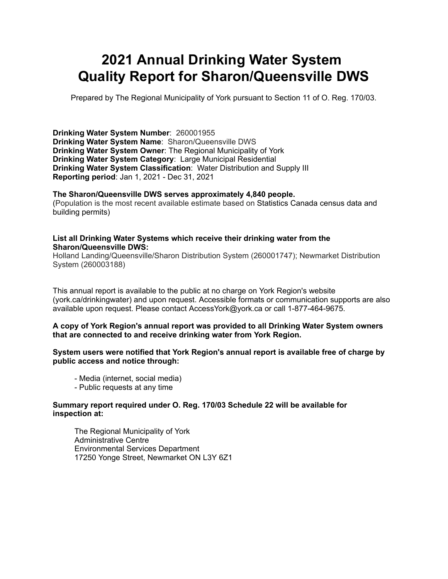# **2021 Annual Drinking Water System Quality Report for Sharon/Queensville DWS**

Prepared by The Regional Municipality of York pursuant to Section 11 of O. Reg. 170/03.

**Drinking Water System Number**: 260001955 **Drinking Water System Name**: Sharon/Queensville DWS **Drinking Water System Owner**: The Regional Municipality of York **Drinking Water System Category**: Large Municipal Residential **Drinking Water System Classification**: Water Distribution and Supply III **Reporting period**: Jan 1, 2021 - Dec 31, 2021

**The Sharon/Queensville DWS serves approximately 4,840 people.** (Population is the most recent available estimate based on Statistics Canada census data and building permits)

#### **List all Drinking Water Systems which receive their drinking water from the Sharon/Queensville DWS:**

Holland Landing/Queensville/Sharon Distribution System (260001747); Newmarket Distribution System (260003188)

This annual report is available to the public at no charge on York Region's website (york.ca/drinkingwater) and upon request. Accessible formats or communication supports are also available upon request. Please contact [AccessYork@york.ca](mailto:AccessYork@york.ca) or call 1-877-464-9675.

**A copy of York Region's annual report was provided to all Drinking Water System owners that are connected to and receive drinking water from York Region.**

**System users were notified that York Region's annual report is available free of charge by public access and notice through:**

- Media (internet, social media)
- Public requests at any time

#### **Summary report required under O. Reg. 170/03 Schedule 22 will be available for inspection at:**

 The Regional Municipality of York Administrative Centre Environmental Services Department 17250 Yonge Street, Newmarket ON L3Y 6Z1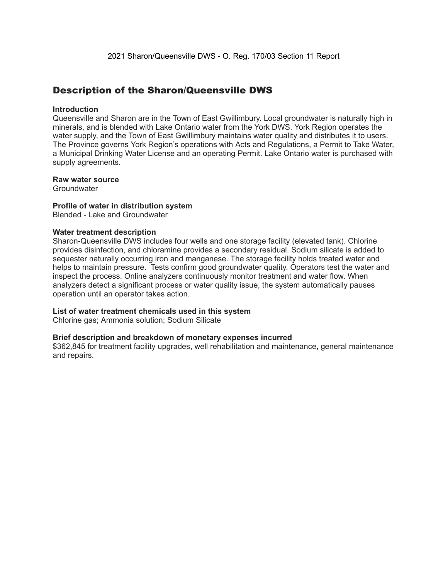### Description of the Sharon/Queensville DWS

#### **Introduction**

Queensville and Sharon are in the Town of East Gwillimbury. Local groundwater is naturally high in minerals, and is blended with Lake Ontario water from the York DWS. York Region operates the water supply, and the Town of East Gwillimbury maintains water quality and distributes it to users. The Province governs York Region's operations with Acts and Regulations, a Permit to Take Water, a Municipal Drinking Water License and an operating Permit. Lake Ontario water is purchased with supply agreements.

#### **Raw water source**

**Groundwater** 

#### **Profile of water in distribution system**

Blended - Lake and Groundwater

#### **Water treatment description**

Sharon-Queensville DWS includes four wells and one storage facility (elevated tank). Chlorine provides disinfection, and chloramine provides a secondary residual. Sodium silicate is added to sequester naturally occurring iron and manganese. The storage facility holds treated water and helps to maintain pressure. Tests confirm good groundwater quality. Operators test the water and inspect the process. Online analyzers continuously monitor treatment and water flow. When analyzers detect a significant process or water quality issue, the system automatically pauses operation until an operator takes action.

#### **List of water treatment chemicals used in this system**

Chlorine gas; Ammonia solution; Sodium Silicate

#### **Brief description and breakdown of monetary expenses incurred**

\$362,845 for treatment facility upgrades, well rehabilitation and maintenance, general maintenance and repairs.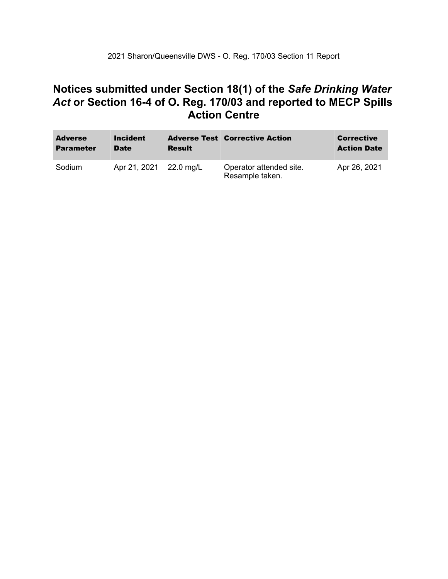### **Notices submitted under Section 18(1) of the** *Safe Drinking Water*  *Act* **or Section 16-4 of O. Reg. 170/03 and reported to MECP Spills Action Centre**

| <b>Adverse</b><br><b>Parameter</b> | <b>Incident</b><br><b>Date</b> | <b>Result</b> | <b>Adverse Test Corrective Action</b>      | <b>Corrective</b><br><b>Action Date</b> |
|------------------------------------|--------------------------------|---------------|--------------------------------------------|-----------------------------------------|
| Sodium                             | Apr 21, 2021 22.0 mg/L         |               | Operator attended site.<br>Resample taken. | Apr 26, 2021                            |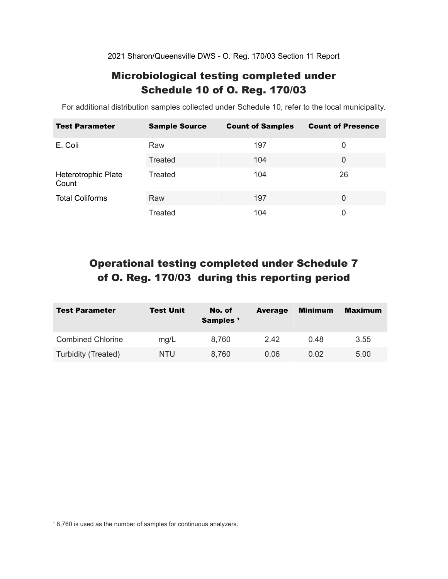2021 Sharon/Queensville DWS - O. Reg. 170/03 Section 11 Report

### Microbiological testing completed under Schedule 10 of O. Reg. 170/03

For additional distribution samples collected under Schedule 10, refer to the local municipality.

| <b>Test Parameter</b>        | <b>Sample Source</b> | <b>Count of Samples</b> | <b>Count of Presence</b> |
|------------------------------|----------------------|-------------------------|--------------------------|
| E. Coli                      | Raw                  | 197                     | $\theta$                 |
|                              | Treated              | 104                     | 0                        |
| Heterotrophic Plate<br>Count | Treated              | 104                     | 26                       |
| <b>Total Coliforms</b>       | Raw                  | 197                     | $\Omega$                 |
|                              | Treated              | 104                     | 0                        |

## Operational testing completed under Schedule 7 of O. Reg. 170/03 during this reporting period

| <b>Test Parameter</b>    | <b>Test Unit</b> | No. of<br>Samples <sup>1</sup> | <b>Average</b> | <b>Minimum</b> | <b>Maximum</b> |
|--------------------------|------------------|--------------------------------|----------------|----------------|----------------|
| <b>Combined Chlorine</b> | mg/L             | 8.760                          | 2.42           | 0.48           | 3.55           |
| Turbidity (Treated)      | NTU              | 8,760                          | 0.06           | 0.02           | 5.00           |

<sup>1</sup> 8,760 is used as the number of samples for continuous analyzers.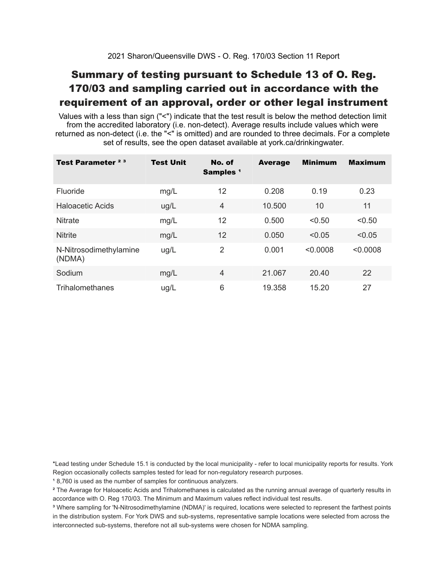## Summary of testing pursuant to Schedule 13 of O. Reg. 170/03 and sampling carried out in accordance with the requirement of an approval, order or other legal instrument

 Values with a less than sign ("<") indicate that the test result is below the method detection limit from the accredited laboratory (i.e. non-detect). Average results include values which were returned as non-detect (i.e. the "<" is omitted) and are rounded to three decimals. For a complete set of results, see the open dataset available at york.ca/drinkingwater.

| Test Parameter <sup>23</sup>     | <b>Test Unit</b> | No. of<br>Samples <sup>1</sup> | <b>Average</b> | <b>Minimum</b> | <b>Maximum</b> |
|----------------------------------|------------------|--------------------------------|----------------|----------------|----------------|
| Fluoride                         | mg/L             | 12                             | 0.208          | 0.19           | 0.23           |
| Haloacetic Acids                 | ug/L             | 4                              | 10.500         | 10             | 11             |
| <b>Nitrate</b>                   | mg/L             | 12                             | 0.500          | < 0.50         | < 0.50         |
| <b>Nitrite</b>                   | mg/L             | 12                             | 0.050          | < 0.05         | < 0.05         |
| N-Nitrosodimethylamine<br>(NDMA) | ug/L             | $\overline{2}$                 | 0.001          | < 0.0008       | < 0.0008       |
| Sodium                           | mg/L             | 4                              | 21.067         | 20.40          | 22             |
| Trihalomethanes                  | ug/L             | 6                              | 19.358         | 15.20          | 27             |

 \*Lead testing under Schedule 15.1 is conducted by the local municipality - refer to local municipality reports for results. York Region occasionally collects samples tested for lead for non-regulatory research purposes.

<sup>1</sup>8,760 is used as the number of samples for continuous analyzers.

 $\mathrm{^2}$  The Average for Haloacetic Acids and Trihalomethanes is calculated as the running annual average of quarterly results in accordance with O. Reg 170/03. The Minimum and Maximum values reflect individual test results.

<sup>3</sup> Where sampling for 'N-Nitrosodimethylamine (NDMA)' is required, locations were selected to represent the farthest points in the distribution system. For York DWS and sub-systems, representative sample locations were selected from across the interconnected sub-systems, therefore not all sub-systems were chosen for NDMA sampling.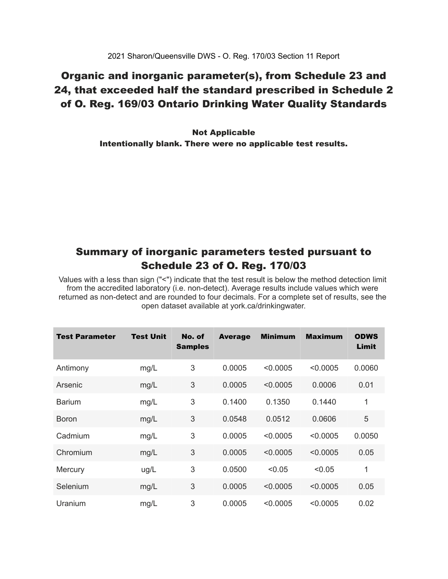### Organic and inorganic parameter(s), from Schedule 23 and 24, that exceeded half the standard prescribed in Schedule 2 of O. Reg. 169/03 Ontario Drinking Water Quality Standards

 Intentionally blank. There were no applicable test results. Not Applicable

### Summary of inorganic parameters tested pursuant to Schedule 23 of O. Reg. 170/03

 Values with a less than sign ("<") indicate that the test result is below the method detection limit from the accredited laboratory (i.e. non-detect). Average results include values which were returned as non-detect and are rounded to four decimals. For a complete set of results, see the open dataset available at york.ca/drinkingwater.

| Test Parameter | <b>Test Unit</b> | No. of<br><b>Samples</b> | <b>Average</b> | <b>Minimum</b> | <b>Maximum</b> | <b>ODWS</b><br>Limit |
|----------------|------------------|--------------------------|----------------|----------------|----------------|----------------------|
| Antimony       | mg/L             | 3                        | 0.0005         | < 0.0005       | < 0.0005       | 0.0060               |
| Arsenic        | mg/L             | 3                        | 0.0005         | < 0.0005       | 0.0006         | 0.01                 |
| <b>Barium</b>  | mg/L             | 3                        | 0.1400         | 0.1350         | 0.1440         | 1                    |
| <b>Boron</b>   | mg/L             | 3                        | 0.0548         | 0.0512         | 0.0606         | 5                    |
| Cadmium        | mg/L             | 3                        | 0.0005         | < 0.0005       | < 0.0005       | 0.0050               |
| Chromium       | mg/L             | 3                        | 0.0005         | < 0.0005       | < 0.0005       | 0.05                 |
| Mercury        | ug/L             | 3                        | 0.0500         | < 0.05         | < 0.05         | 1                    |
| Selenium       | mg/L             | 3                        | 0.0005         | < 0.0005       | < 0.0005       | 0.05                 |
| Uranium        | mg/L             | 3                        | 0.0005         | < 0.0005       | < 0.0005       | 0.02                 |